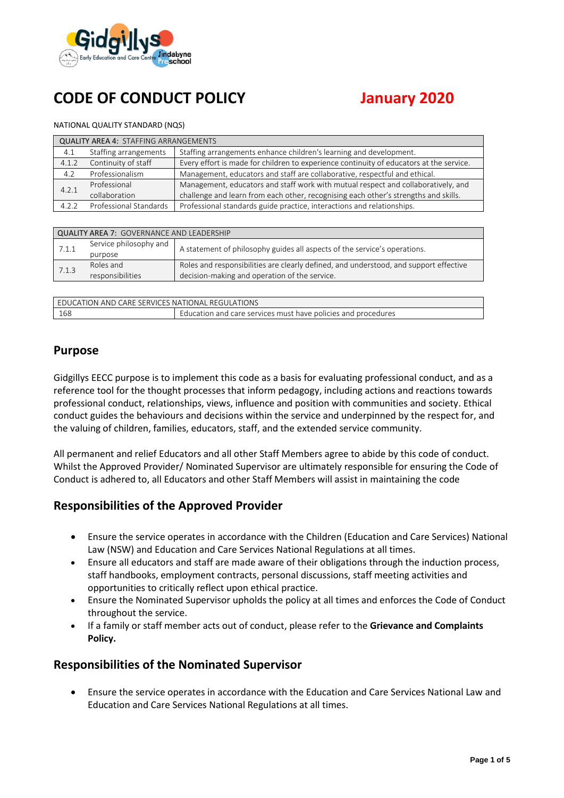

# **CODE OF CONDUCT POLICY January 2020**

#### NATIONAL QUALITY STANDARD (NQS)

| <b>QUALITY AREA 4: STAFFING ARRANGEMENTS</b> |                        |                                                                                         |  |
|----------------------------------------------|------------------------|-----------------------------------------------------------------------------------------|--|
| 4.1                                          | Staffing arrangements  | Staffing arrangements enhance children's learning and development.                      |  |
| 4.1.2                                        | Continuity of staff    | Every effort is made for children to experience continuity of educators at the service. |  |
| 4.2                                          | Professionalism        | Management, educators and staff are collaborative, respectful and ethical.              |  |
| 4.2.1                                        | Professional           | Management, educators and staff work with mutual respect and collaboratively, and       |  |
|                                              | collaboration          | challenge and learn from each other, recognising each other's strengths and skills.     |  |
| 4.2.2                                        | Professional Standards | Professional standards guide practice, interactions and relationships.                  |  |

| <b>QUALITY AREA 7: GOVERNANCE AND LEADERSHIP</b> |                        |                                                                                       |  |  |
|--------------------------------------------------|------------------------|---------------------------------------------------------------------------------------|--|--|
| 7.1.1                                            | Service philosophy and | A statement of philosophy guides all aspects of the service's operations.             |  |  |
|                                                  | purpose                |                                                                                       |  |  |
| 7.1.3                                            | Roles and              | Roles and responsibilities are clearly defined, and understood, and support effective |  |  |
|                                                  | responsibilities       | decision-making and operation of the service.                                         |  |  |

| LEDUCATION AND CARE SERVICES NATIONAL REGULATIONS |                                                                      |  |
|---------------------------------------------------|----------------------------------------------------------------------|--|
| 168                                               | <b>Education and care services must have policies and procedures</b> |  |

#### **Purpose**

Gidgillys EECC purpose is to implement this code as a basis for evaluating professional conduct, and as a reference tool for the thought processes that inform pedagogy, including actions and reactions towards professional conduct, relationships, views, influence and position with communities and society. Ethical conduct guides the behaviours and decisions within the service and underpinned by the respect for, and the valuing of children, families, educators, staff, and the extended service community.

All permanent and relief Educators and all other Staff Members agree to abide by this code of conduct. Whilst the Approved Provider/ Nominated Supervisor are ultimately responsible for ensuring the Code of Conduct is adhered to, all Educators and other Staff Members will assist in maintaining the code

# **Responsibilities of the Approved Provider**

- Ensure the service operates in accordance with the Children (Education and Care Services) National Law (NSW) and Education and Care Services National Regulations at all times.
- Ensure all educators and staff are made aware of their obligations through the induction process, staff handbooks, employment contracts, personal discussions, staff meeting activities and opportunities to critically reflect upon ethical practice.
- Ensure the Nominated Supervisor upholds the policy at all times and enforces the Code of Conduct throughout the service.
- If a family or staff member acts out of conduct, please refer to the **Grievance and Complaints Policy.**

# **Responsibilities of the Nominated Supervisor**

• Ensure the service operates in accordance with the Education and Care Services National Law and Education and Care Services National Regulations at all times.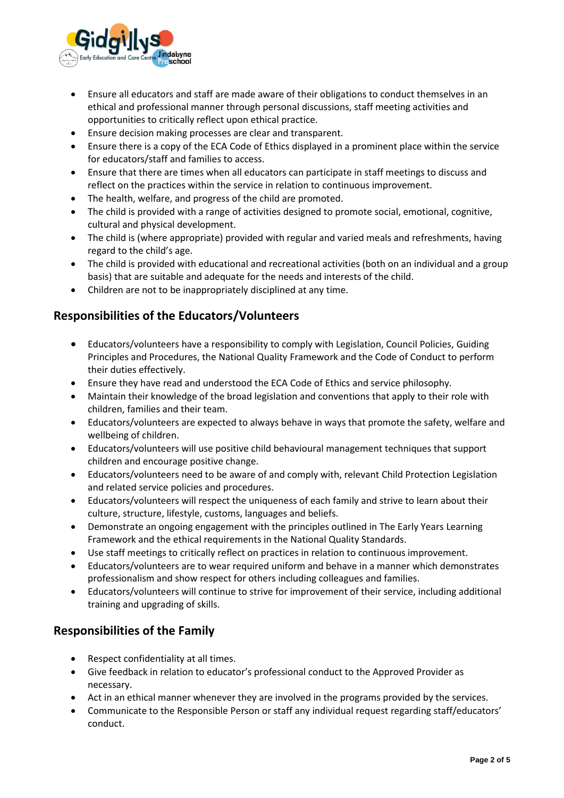

- Ensure all educators and staff are made aware of their obligations to conduct themselves in an ethical and professional manner through personal discussions, staff meeting activities and opportunities to critically reflect upon ethical practice.
- Ensure decision making processes are clear and transparent.
- Ensure there is a copy of the ECA Code of Ethics displayed in a prominent place within the service for educators/staff and families to access.
- Ensure that there are times when all educators can participate in staff meetings to discuss and reflect on the practices within the service in relation to continuous improvement.
- The health, welfare, and progress of the child are promoted.
- The child is provided with a range of activities designed to promote social, emotional, cognitive, cultural and physical development.
- The child is (where appropriate) provided with regular and varied meals and refreshments, having regard to the child's age.
- The child is provided with educational and recreational activities (both on an individual and a group basis) that are suitable and adequate for the needs and interests of the child.
- Children are not to be inappropriately disciplined at any time.

# **Responsibilities of the Educators/Volunteers**

- Educators/volunteers have a responsibility to comply with Legislation, Council Policies, Guiding Principles and Procedures, the National Quality Framework and the Code of Conduct to perform their duties effectively.
- Ensure they have read and understood the ECA Code of Ethics and service philosophy.
- Maintain their knowledge of the broad legislation and conventions that apply to their role with children, families and their team.
- Educators/volunteers are expected to always behave in ways that promote the safety, welfare and wellbeing of children.
- Educators/volunteers will use positive child behavioural management techniques that support children and encourage positive change.
- Educators/volunteers need to be aware of and comply with, relevant Child Protection Legislation and related service policies and procedures.
- Educators/volunteers will respect the uniqueness of each family and strive to learn about their culture, structure, lifestyle, customs, languages and beliefs.
- Demonstrate an ongoing engagement with the principles outlined in The Early Years Learning Framework and the ethical requirements in the National Quality Standards.
- Use staff meetings to critically reflect on practices in relation to continuous improvement.
- Educators/volunteers are to wear required uniform and behave in a manner which demonstrates professionalism and show respect for others including colleagues and families.
- Educators/volunteers will continue to strive for improvement of their service, including additional training and upgrading of skills.

# **Responsibilities of the Family**

- Respect confidentiality at all times.
- Give feedback in relation to educator's professional conduct to the Approved Provider as necessary.
- Act in an ethical manner whenever they are involved in the programs provided by the services.
- Communicate to the Responsible Person or staff any individual request regarding staff/educators' conduct.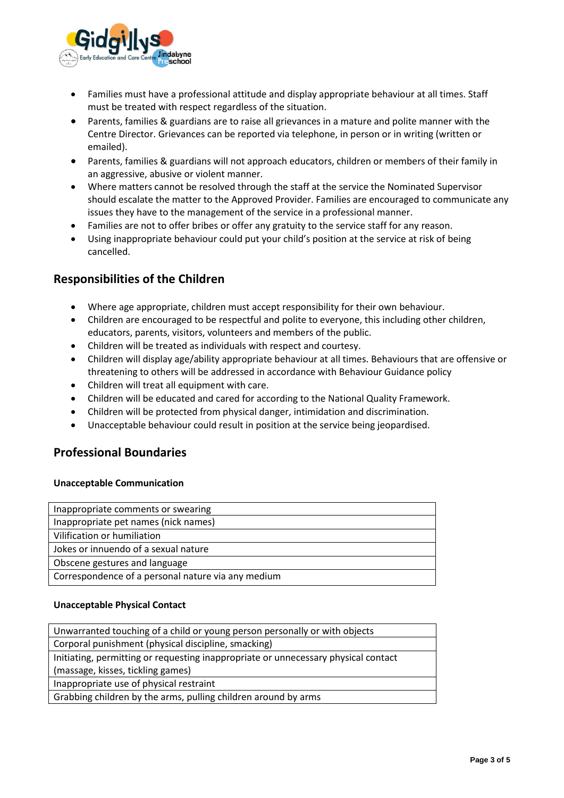

- Families must have a professional attitude and display appropriate behaviour at all times. Staff must be treated with respect regardless of the situation.
- Parents, families & guardians are to raise all grievances in a mature and polite manner with the Centre Director. Grievances can be reported via telephone, in person or in writing (written or emailed).
- Parents, families & guardians will not approach educators, children or members of their family in an aggressive, abusive or violent manner.
- Where matters cannot be resolved through the staff at the service the Nominated Supervisor should escalate the matter to the Approved Provider. Families are encouraged to communicate any issues they have to the management of the service in a professional manner.
- Families are not to offer bribes or offer any gratuity to the service staff for any reason.
- Using inappropriate behaviour could put your child's position at the service at risk of being cancelled.

# **Responsibilities of the Children**

- Where age appropriate, children must accept responsibility for their own behaviour.
- Children are encouraged to be respectful and polite to everyone, this including other children, educators, parents, visitors, volunteers and members of the public.
- Children will be treated as individuals with respect and courtesy.
- Children will display age/ability appropriate behaviour at all times. Behaviours that are offensive or threatening to others will be addressed in accordance with Behaviour Guidance policy
- Children will treat all equipment with care.
- Children will be educated and cared for according to the National Quality Framework.
- Children will be protected from physical danger, intimidation and discrimination.
- Unacceptable behaviour could result in position at the service being jeopardised.

# **Professional Boundaries**

#### **Unacceptable Communication**

| Inappropriate comments or swearing                 |
|----------------------------------------------------|
| Inappropriate pet names (nick names)               |
| Vilification or humiliation                        |
| Jokes or innuendo of a sexual nature               |
| Obscene gestures and language                      |
| Correspondence of a personal nature via any medium |

#### **Unacceptable Physical Contact**

| Unwarranted touching of a child or young person personally or with objects         |  |  |
|------------------------------------------------------------------------------------|--|--|
| Corporal punishment (physical discipline, smacking)                                |  |  |
| Initiating, permitting or requesting inappropriate or unnecessary physical contact |  |  |
| (massage, kisses, tickling games)                                                  |  |  |
| Inappropriate use of physical restraint                                            |  |  |
| Grabbing children by the arms, pulling children around by arms                     |  |  |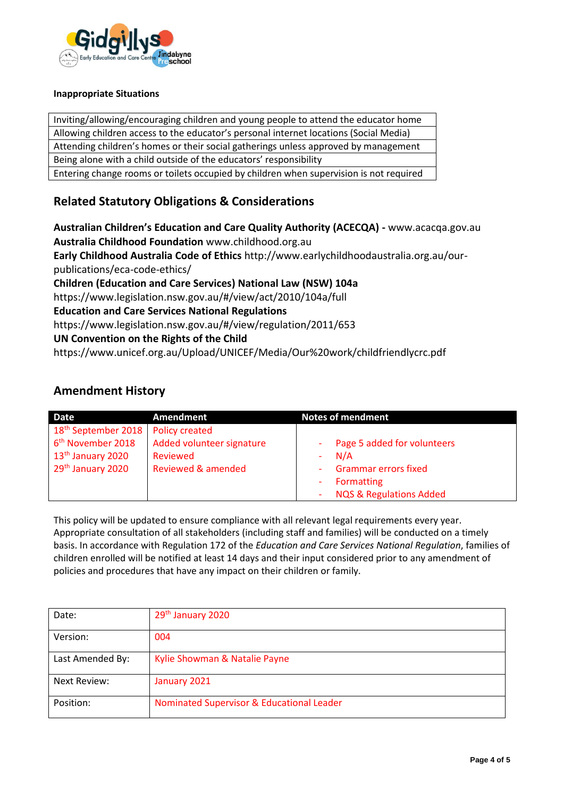

#### **Inappropriate Situations**

Inviting/allowing/encouraging children and young people to attend the educator home Allowing children access to the educator's personal internet locations (Social Media) Attending children's homes or their social gatherings unless approved by management Being alone with a child outside of the educators' responsibility Entering change rooms or toilets occupied by children when supervision is not required

# **Related Statutory Obligations & Considerations**

**Australian Children's Education and Care Quality Authority (ACECQA) -** www.acacqa.gov.au **Australia Childhood Foundation** www.childhood.org.au

**Early Childhood Australia Code of Ethics** http://www.earlychildhoodaustralia.org.au/ourpublications/eca-code-ethics/

**Children (Education and Care Services) National Law (NSW) 104a**

https://www.legislation.nsw.gov.au/#/view/act/2010/104a/full

**Education and Care Services National Regulations**

https://www.legislation.nsw.gov.au/#/view/regulation/2011/653

#### **UN Convention on the Rights of the Child**

https://www.unicef.org.au/Upload/UNICEF/Media/Our%20work/childfriendlycrc.pdf

# **Amendment History**

| Date                            | Amendment                 | <b>Notes of mendment</b>           |
|---------------------------------|---------------------------|------------------------------------|
| 18 <sup>th</sup> September 2018 | <b>Policy created</b>     |                                    |
| 6 <sup>th</sup> November 2018   | Added volunteer signature | Page 5 added for volunteers        |
| 13 <sup>th</sup> January 2020   | Reviewed                  | N/A                                |
| 29 <sup>th</sup> January 2020   | Reviewed & amended        | <b>Grammar errors fixed</b>        |
|                                 |                           | <b>Formatting</b>                  |
|                                 |                           | <b>NQS &amp; Regulations Added</b> |

This policy will be updated to ensure compliance with all relevant legal requirements every year. Appropriate consultation of all stakeholders (including staff and families) will be conducted on a timely basis. In accordance with Regulation 172 of the *Education and Care Services National Regulation*, families of children enrolled will be notified at least 14 days and their input considered prior to any amendment of policies and procedures that have any impact on their children or family.

| Date:            | 29th January 2020                         |
|------------------|-------------------------------------------|
| Version:         | 004                                       |
| Last Amended By: | Kylie Showman & Natalie Payne             |
| Next Review:     | January 2021                              |
| Position:        | Nominated Supervisor & Educational Leader |